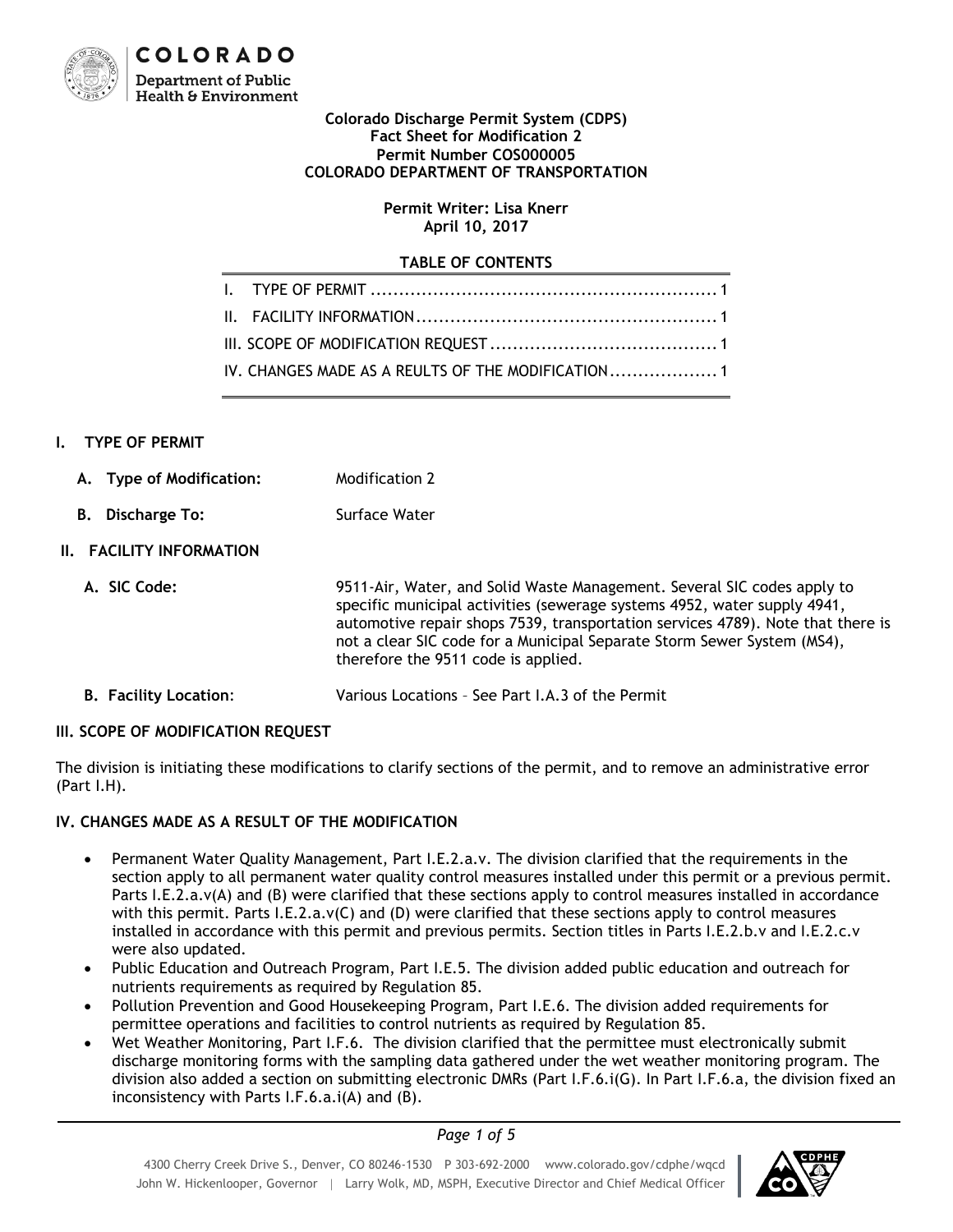

#### **Colorado Discharge Permit System (CDPS) Fact Sheet for Modification 2 Permit Number COS000005 COLORADO DEPARTMENT OF TRANSPORTATION**

#### **Permit Writer: Lisa Knerr April 10, 2017**

#### **TABLE OF CONTENTS**

|  | IV. CHANGES MADE AS A REULTS OF THE MODIFICATION |
|--|--------------------------------------------------|

#### <span id="page-0-0"></span>**I. TYPE OF PERMIT**

- **A. Type of Modification:** Modification 2
- **B.** Discharge To: Surface Water

### <span id="page-0-1"></span>**II. FACILITY INFORMATION**

- **A. SIC Code:** 9511-Air, Water, and Solid Waste Management. Several SIC codes apply to specific municipal activities (sewerage systems 4952, water supply 4941, automotive repair shops 7539, transportation services 4789). Note that there is not a clear SIC code for a Municipal Separate Storm Sewer System (MS4), therefore the 9511 code is applied.
- **B. Facility Location**: Various Locations See Part I.A.3 of the Permit

### <span id="page-0-2"></span>**III. SCOPE OF MODIFICATION REQUEST**

The division is initiating these modifications to clarify sections of the permit, and to remove an administrative error (Part I.H).

### <span id="page-0-3"></span>**IV. CHANGES MADE AS A RESULT OF THE MODIFICATION**

- Permanent Water Quality Management, Part I.E.2.a.v. The division clarified that the requirements in the section apply to all permanent water quality control measures installed under this permit or a previous permit. Parts I.E.2.a.v(A) and (B) were clarified that these sections apply to control measures installed in accordance with this permit. Parts I.E.2.a.v(C) and (D) were clarified that these sections apply to control measures installed in accordance with this permit and previous permits. Section titles in Parts I.E.2.b.v and I.E.2.c.v were also updated.
- Public Education and Outreach Program, Part I.E.5. The division added public education and outreach for nutrients requirements as required by Regulation 85.
- Pollution Prevention and Good Housekeeping Program, Part I.E.6. The division added requirements for permittee operations and facilities to control nutrients as required by Regulation 85.
- Wet Weather Monitoring, Part I.F.6. The division clarified that the permittee must electronically submit discharge monitoring forms with the sampling data gathered under the wet weather monitoring program. The division also added a section on submitting electronic DMRs (Part I.F.6.i(G). In Part I.F.6.a, the division fixed an inconsistency with Parts I.F.6.a.i(A) and (B).

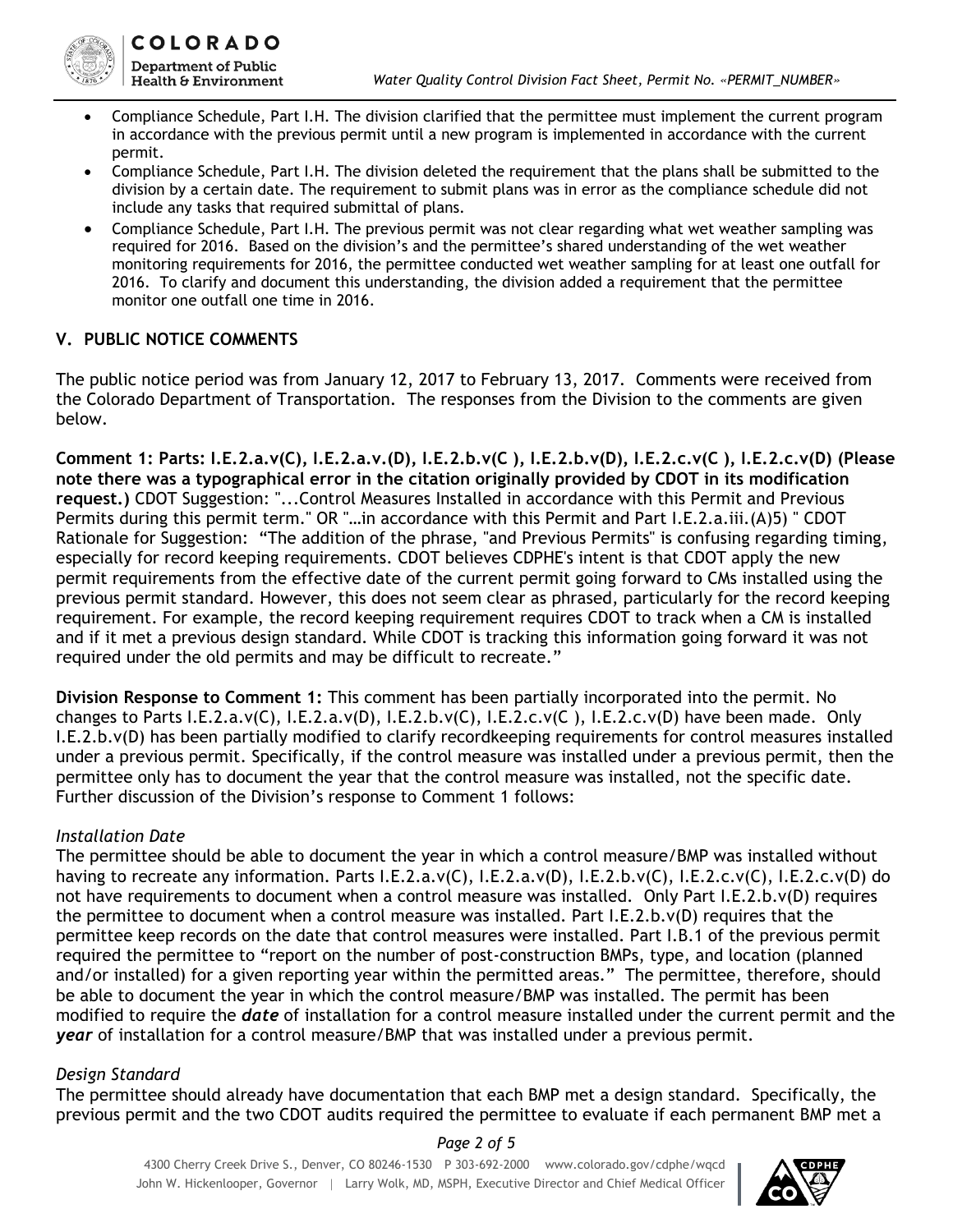

- Compliance Schedule, Part I.H. The division clarified that the permittee must implement the current program in accordance with the previous permit until a new program is implemented in accordance with the current permit.
- Compliance Schedule, Part I.H. The division deleted the requirement that the plans shall be submitted to the division by a certain date. The requirement to submit plans was in error as the compliance schedule did not include any tasks that required submittal of plans.
- Compliance Schedule, Part I.H. The previous permit was not clear regarding what wet weather sampling was required for 2016. Based on the division's and the permittee's shared understanding of the wet weather monitoring requirements for 2016, the permittee conducted wet weather sampling for at least one outfall for 2016. To clarify and document this understanding, the division added a requirement that the permittee monitor one outfall one time in 2016.

## **V. PUBLIC NOTICE COMMENTS**

The public notice period was from January 12, 2017 to February 13, 2017. Comments were received from the Colorado Department of Transportation. The responses from the Division to the comments are given below.

**Comment 1: Parts: I.E.2.a.v(C), I.E.2.a.v.(D), I.E.2.b.v(C ), I.E.2.b.v(D), I.E.2.c.v(C ), I.E.2.c.v(D) (Please note there was a typographical error in the citation originally provided by CDOT in its modification request.)** CDOT Suggestion: "...Control Measures Installed in accordance with this Permit and Previous Permits during this permit term." OR "…in accordance with this Permit and Part I.E.2.a.iii.(A)5) " CDOT Rationale for Suggestion: "The addition of the phrase, "and Previous Permits" is confusing regarding timing, especially for record keeping requirements. CDOT believes CDPHE's intent is that CDOT apply the new permit requirements from the effective date of the current permit going forward to CMs installed using the previous permit standard. However, this does not seem clear as phrased, particularly for the record keeping requirement. For example, the record keeping requirement requires CDOT to track when a CM is installed and if it met a previous design standard. While CDOT is tracking this information going forward it was not required under the old permits and may be difficult to recreate."

**Division Response to Comment 1:** This comment has been partially incorporated into the permit. No changes to Parts I.E.2.a.v(C), I.E.2.a.v(D), I.E.2.b.v(C), I.E.2.c.v(C), I.E.2.c.v(D) have been made. Only I.E.2.b.v(D) has been partially modified to clarify recordkeeping requirements for control measures installed under a previous permit. Specifically, if the control measure was installed under a previous permit, then the permittee only has to document the year that the control measure was installed, not the specific date. Further discussion of the Division's response to Comment 1 follows:

### *Installation Date*

The permittee should be able to document the year in which a control measure/BMP was installed without having to recreate any information. Parts I.E.2.a.v(C), I.E.2.a.v(D), I.E.2.b.v(C), I.E.2.c.v(C), I.E.2.c.v(D) do not have requirements to document when a control measure was installed. Only Part I.E.2.b.v(D) requires the permittee to document when a control measure was installed. Part I.E.2.b.v(D) requires that the permittee keep records on the date that control measures were installed. Part I.B.1 of the previous permit required the permittee to "report on the number of post-construction BMPs, type, and location (planned and/or installed) for a given reporting year within the permitted areas." The permittee, therefore, should be able to document the year in which the control measure/BMP was installed. The permit has been modified to require the *date* of installation for a control measure installed under the current permit and the *year* of installation for a control measure/BMP that was installed under a previous permit.

# *Design Standard*

The permittee should already have documentation that each BMP met a design standard. Specifically, the previous permit and the two CDOT audits required the permittee to evaluate if each permanent BMP met a

*Page 2 of 5*

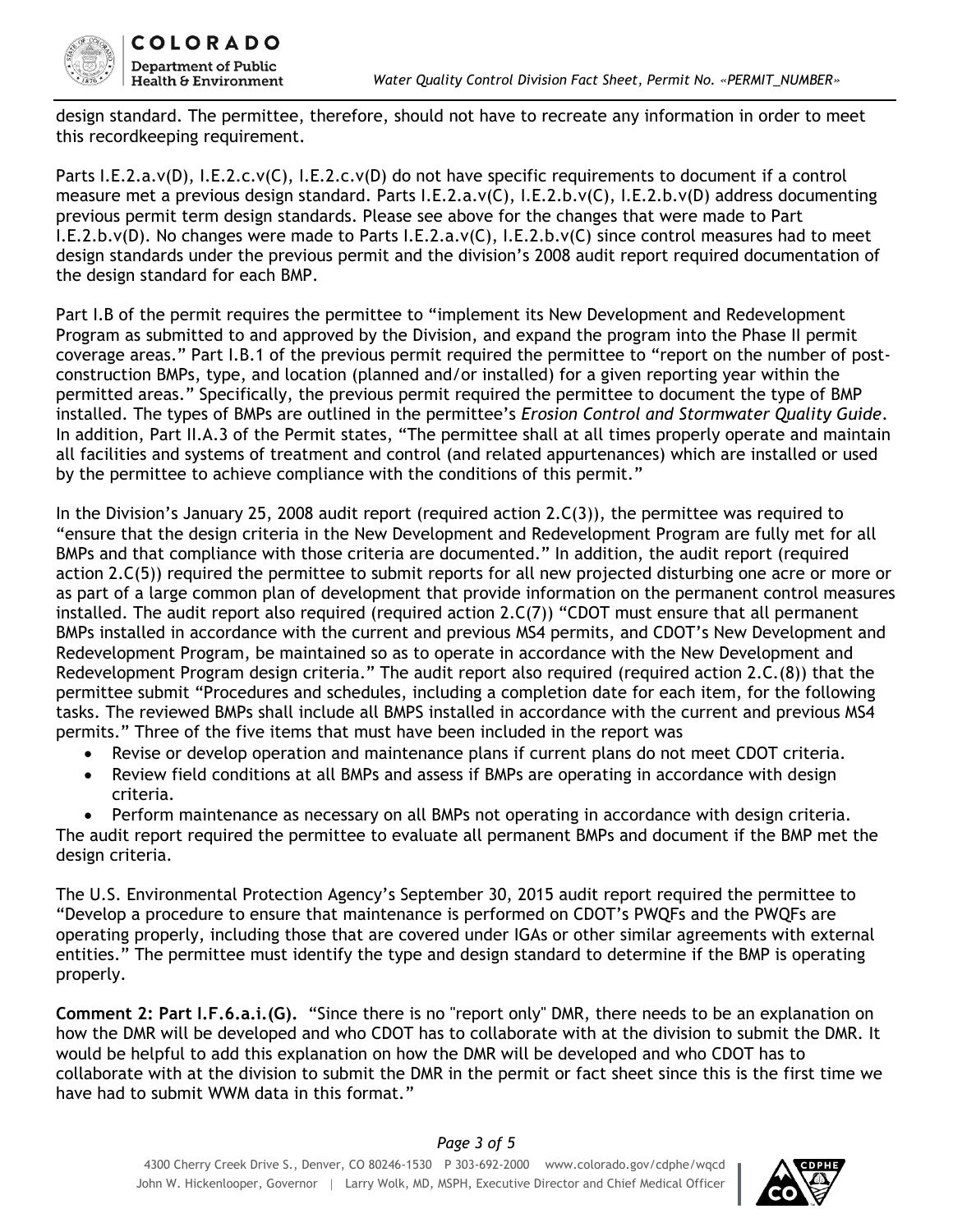

design standard. The permittee, therefore, should not have to recreate any information in order to meet this recordkeeping requirement.

Parts I.E.2.a.v(D), I.E.2.c.v(C), I.E.2.c.v(D) do not have specific requirements to document if a control measure met a previous design standard. Parts I.E.2.a.v(C), I.E.2.b.v(C), I.E.2.b.v(D) address documenting previous permit term design standards. Please see above for the changes that were made to Part I.E.2.b.v(D). No changes were made to Parts I.E.2.a.v(C), I.E.2.b.v(C) since control measures had to meet design standards under the previous permit and the division's 2008 audit report required documentation of the design standard for each BMP.

Part I.B of the permit requires the permittee to "implement its New Development and Redevelopment Program as submitted to and approved by the Division, and expand the program into the Phase II permit coverage areas." Part I.B.1 of the previous permit required the permittee to "report on the number of postconstruction BMPs, type, and location (planned and/or installed) for a given reporting year within the permitted areas." Specifically, the previous permit required the permittee to document the type of BMP installed. The types of BMPs are outlined in the permittee's *Erosion Control and Stormwater Quality Guide*. In addition, Part II.A.3 of the Permit states, "The permittee shall at all times properly operate and maintain all facilities and systems of treatment and control (and related appurtenances) which are installed or used by the permittee to achieve compliance with the conditions of this permit."

In the Division's January 25, 2008 audit report (required action 2.C(3)), the permittee was required to "ensure that the design criteria in the New Development and Redevelopment Program are fully met for all BMPs and that compliance with those criteria are documented." In addition, the audit report (required action 2.C(5)) required the permittee to submit reports for all new projected disturbing one acre or more or as part of a large common plan of development that provide information on the permanent control measures installed. The audit report also required (required action 2.C(7)) "CDOT must ensure that all permanent BMPs installed in accordance with the current and previous MS4 permits, and CDOT's New Development and Redevelopment Program, be maintained so as to operate in accordance with the New Development and Redevelopment Program design criteria." The audit report also required (required action 2.C.(8)) that the permittee submit "Procedures and schedules, including a completion date for each item, for the following tasks. The reviewed BMPs shall include all BMPS installed in accordance with the current and previous MS4 permits." Three of the five items that must have been included in the report was

- Revise or develop operation and maintenance plans if current plans do not meet CDOT criteria.
- Review field conditions at all BMPs and assess if BMPs are operating in accordance with design criteria.
- Perform maintenance as necessary on all BMPs not operating in accordance with design criteria.

The audit report required the permittee to evaluate all permanent BMPs and document if the BMP met the design criteria.

The U.S. Environmental Protection Agency's September 30, 2015 audit report required the permittee to "Develop a procedure to ensure that maintenance is performed on CDOT's PWQFs and the PWQFs are operating properly, including those that are covered under IGAs or other similar agreements with external entities." The permittee must identify the type and design standard to determine if the BMP is operating properly.

**Comment 2: Part I.F.6.a.i.(G).** "Since there is no "report only" DMR, there needs to be an explanation on how the DMR will be developed and who CDOT has to collaborate with at the division to submit the DMR. It would be helpful to add this explanation on how the DMR will be developed and who CDOT has to collaborate with at the division to submit the DMR in the permit or fact sheet since this is the first time we have had to submit WWM data in this format."

# *Page 3 of 5*

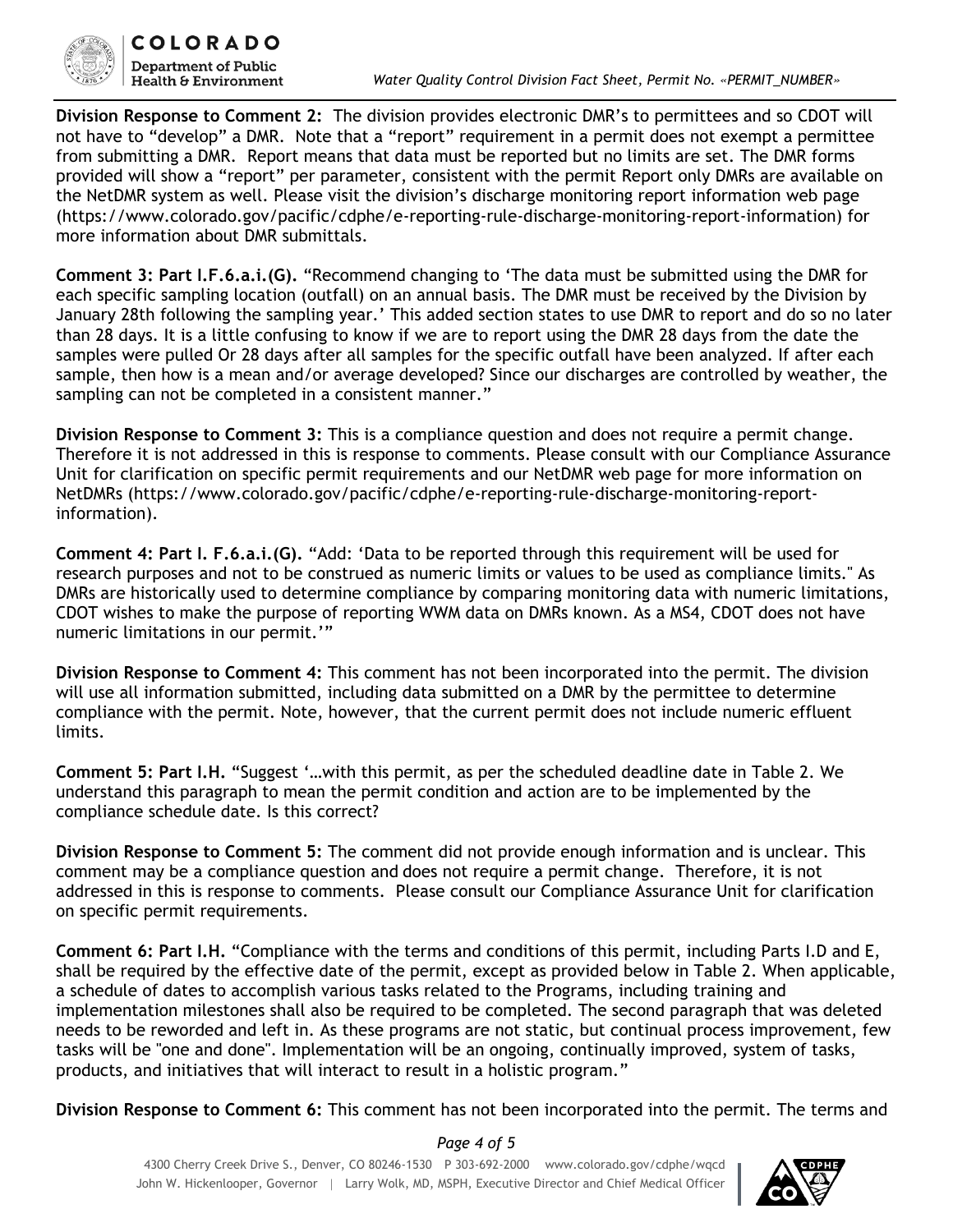

**Division Response to Comment 2:** The division provides electronic DMR's to permittees and so CDOT will not have to "develop" a DMR. Note that a "report" requirement in a permit does not exempt a permittee from submitting a DMR. Report means that data must be reported but no limits are set. The DMR forms provided will show a "report" per parameter, consistent with the permit Report only DMRs are available on the NetDMR system as well. Please visit the division's discharge monitoring report information web page (https://www.colorado.gov/pacific/cdphe/e-reporting-rule-discharge-monitoring-report-information) for more information about DMR submittals.

**Comment 3: Part I.F.6.a.i.(G).** "Recommend changing to 'The data must be submitted using the DMR for each specific sampling location (outfall) on an annual basis. The DMR must be received by the Division by January 28th following the sampling year.' This added section states to use DMR to report and do so no later than 28 days. It is a little confusing to know if we are to report using the DMR 28 days from the date the samples were pulled Or 28 days after all samples for the specific outfall have been analyzed. If after each sample, then how is a mean and/or average developed? Since our discharges are controlled by weather, the sampling can not be completed in a consistent manner."

**Division Response to Comment 3:** This is a compliance question and does not require a permit change. Therefore it is not addressed in this is response to comments. Please consult with our Compliance Assurance Unit for clarification on specific permit requirements and our NetDMR web page for more information on NetDMRs (https://www.colorado.gov/pacific/cdphe/e-reporting-rule-discharge-monitoring-reportinformation).

**Comment 4: Part I. F.6.a.i.(G).** "Add: 'Data to be reported through this requirement will be used for research purposes and not to be construed as numeric limits or values to be used as compliance limits." As DMRs are historically used to determine compliance by comparing monitoring data with numeric limitations, CDOT wishes to make the purpose of reporting WWM data on DMRs known. As a MS4, CDOT does not have numeric limitations in our permit.'"

**Division Response to Comment 4:** This comment has not been incorporated into the permit. The division will use all information submitted, including data submitted on a DMR by the permittee to determine compliance with the permit. Note, however, that the current permit does not include numeric effluent limits.

**Comment 5: Part I.H.** "Suggest '…with this permit, as per the scheduled deadline date in Table 2. We understand this paragraph to mean the permit condition and action are to be implemented by the compliance schedule date. Is this correct?

**Division Response to Comment 5:** The comment did not provide enough information and is unclear. This comment may be a compliance question and does not require a permit change. Therefore, it is not addressed in this is response to comments. Please consult our Compliance Assurance Unit for clarification on specific permit requirements.

**Comment 6: Part I.H.** "Compliance with the terms and conditions of this permit, including Parts I.D and E, shall be required by the effective date of the permit, except as provided below in Table 2. When applicable, a schedule of dates to accomplish various tasks related to the Programs, including training and implementation milestones shall also be required to be completed. The second paragraph that was deleted needs to be reworded and left in. As these programs are not static, but continual process improvement, few tasks will be "one and done". Implementation will be an ongoing, continually improved, system of tasks, products, and initiatives that will interact to result in a holistic program."

**Division Response to Comment 6:** This comment has not been incorporated into the permit. The terms and

*Page 4 of 5*